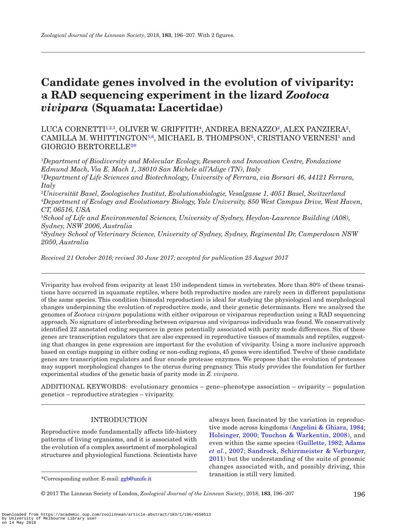# **Candidate genes involved in the evolution of viviparity: a RAD sequencing experiment in the lizard** *Zootoca vivipara* **(Squamata: Lacertidae)**

LUCA CORNETTI<sup>[1](#page-0-0),[2](#page-0-1)[,3](#page-0-2)</sup>, OLIVER W. GRIFFITH<sup>4</sup>, ANDREA BENAZZO<sup>2</sup>, ALEX PANZIERA<sup>2</sup>, CAMILLA M. WHITTINGTON[5,](#page-0-4)[6](#page-0-5), MICHAEL B. THOMPSON[5](#page-0-4), CRISTIANO VERNESI<sup>[1](#page-0-0)</sup> and GIORGIO BERTORELLE[2](#page-0-1) [\\*](#page-0-1)

<span id="page-0-0"></span>1 *Department of Biodiversity and Molecular Ecology, Research and Innovation Centre, Fondazione Edmund Mach, Via E. Mach 1, 38010 San Michele all'Adige (TN), Italy*

<span id="page-0-1"></span>2 *Department of Life Sciences and Biotechnology, University of Ferrara, via Borsari 46, 44121 Ferrara, Italy*

<span id="page-0-3"></span><span id="page-0-2"></span>3 *Universität Basel, Zoologisches Institut, Evolutionsbiologie, Vesalgasse 1, 4051 Basel, Switzerland* 4 *Department of Ecology and Evolutionary Biology, Yale University, 850 West Campus Drive, West Haven, CT, 06516, USA*

<span id="page-0-4"></span>5 *School of Life and Environmental Sciences, University of Sydney, Heydon-Laurence Building (A08), Sydney, NSW 2006, Australia*

<span id="page-0-5"></span>6 *Sydney School of Veterinary Science, University of Sydney, Sydney, Regimental Dr, Camperdown NSW 2050, Australia*

*Received 21 October 2016; revised 30 June 2017; accepted for publication 25 August 2017*

Viviparity has evolved from oviparity at least 150 independent times in vertebrates. More than 80% of these transitions have occurred in squamate reptiles, where both reproductive modes are rarely seen in different populations of the same species. This condition (bimodal reproduction) is ideal for studying the physiological and morphological changes underpinning the evolution of reproductive mode, and their genetic determinants. Here we analysed the genomes of *Zootoca vivipara* populations with either oviparous or viviparous reproduction using a RAD sequencing approach. No signature of interbreeding between oviparous and viviparous individuals was found. We conservatively identified 22 annotated coding sequences in genes potentially associated with parity mode differences. Six of these genes are transcription regulators that are also expressed in reproductive tissues of mammals and reptiles, suggesting that changes in gene expression are important for the evolution of viviparity. Using a more inclusive approach based on contigs mapping in either coding or non-coding regions, 45 genes were identified. Twelve of these candidate genes are transcription regulators and four encode protease enzymes. We propose that the evolution of proteases may support morphological changes to the uterus during pregnancy. This study provides the foundation for further experimental studies of the genetic basis of parity mode in *Z. vivipara*.

ADDITIONAL KEYWORDS: evolutionary genomics – gene–phenotype association – oviparity – population genetics – reproductive strategies – viviparity.

## INTRODUCTION

Reproductive mode fundamentally affects life-history patterns of living organisms, and it is associated with the evolution of a complex assortment of morphological structures and physiological functions. Scientists have

always been fascinated by the variation in reproductive mode across kingdoms [\(Angelini & Ghiara, 1984;](#page-8-0) [Holsinger, 2000](#page-9-0); [Touchon & Warkentin, 2008](#page-11-0)), and even within the same species [\(Guillette, 1982](#page-9-1); [Adams](#page-8-1) *et al.*[, 2007](#page-8-1); [Sandrock, Schirrmeister & Vorburger,](#page-10-0) [2011](#page-10-0)) but the understanding of the suite of genomic changes associated with, and possibly driving, this transition is still very limited. **\***Corresponding author. E-mail: [ggb@unife.it](mailto:ggb@unife.it?subject=)

<sup>© 2017</sup> The Linnean Society of London, *Zoological Journal of the Linnean Society*, 2018, **183**, 196–207 196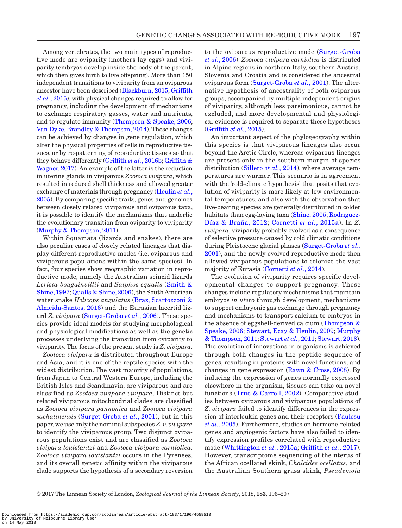Among vertebrates, the two main types of reproductive mode are oviparity (mothers lay eggs) and viviparity (embryos develop inside the body of the parent, which then gives birth to live offspring). More than 150 independent transitions to viviparity from an oviparous ancestor have been described ([Blackburn, 2015](#page-9-2); [Griffith](#page-9-3) *et al.*[, 2015](#page-9-3)), with physical changes required to allow for pregnancy, including the development of mechanisms to exchange respiratory gasses, water and nutrients, and to regulate immunity ([Thompson & Speake, 2006](#page-11-1); [Van Dyke, Brandley & Thompson, 2014](#page-11-2)). These changes can be achieved by changes in gene regulation, which alter the physical properties of cells in reproductive tissues, or by re-patterning of reproductive tissues so that they behave differently ([Griffith](#page-9-3) *et al.*, 2016b; [Griffith &](#page-9-4) [Wagner, 2017](#page-9-4)). An example of the latter is the reduction in uterine glands in viviparous *Zootoca vivipara*, which resulted in reduced shell thickness and allowed greater exchange of materials through pregnancy [\(Heulin](#page-9-5) *et al.*, [2005](#page-9-5)). By comparing specific traits, genes and genomes between closely related viviparous and oviparous taxa, it is possible to identify the mechanisms that underlie the evolutionary transition from oviparity to viviparity [\(Murphy & Thompson, 2011\)](#page-10-1).

Within Squamata (lizards and snakes), there are also peculiar cases of closely related lineages that display different reproductive modes (i.e. oviparous and viviparous populations within the same species). In fact, four species show geographic variation in reproductive mode, namely the Australian scincid lizards *Lerista bougainvillii* and *Saiphos equalis* ([Smith &](#page-10-2) [Shine, 1997](#page-10-2); [Qualls & Shine, 2006\)](#page-10-3), the South American water snake *Helicops angulatus* ([Braz, Scartozzoni &](#page-9-6) [Almeida-Santos, 2016\)](#page-9-6) and the Eurasian lacertid lizard *Z. vivipara* [\(Surget-Groba](#page-10-4) *et al.*, 2006). These species provide ideal models for studying morphological and physiological modifications as well as the genetic processes underlying the transition from oviparity to viviparity. The focus of the present study is *Z. vivipara*.

*Zootoca vivipara* is distributed throughout Europe and Asia, and it is one of the reptile species with the widest distribution. The vast majority of populations, from Japan to Central Western Europe, including the British Isles and Scandinavia, are viviparous and are classified as *Zootoca vivipara vivipara*. Distinct but related viviparous mitochondrial clades are classified as *Zootoca vivipara pannonica* and *Zootoca vivipara sachalinensis* [\(Surget-Groba](#page-11-3) *et al.*, 2001), but in this paper, we use only the nominal subspecies *Z. v. vivipara* to identify the viviparous group. Two disjunct oviparous populations exist and are classified as *Zootoca vivipara louislantzi* and *Zootoca vivipara carniolica*. *Zootoca vivipara louislantzi* occurs in the Pyrenees, and its overall genetic affinity within the viviparous clade supports the hypothesis of a secondary reversion

to the oviparous reproductive mode ([Surget-Groba](#page-10-4) *et al.*[, 2006\)](#page-10-4). *Zootoca vivipara carniolica* is distributed in Alpine regions in northern Italy, southern Austria, Slovenia and Croatia and is considered the ancestral oviparous form ([Surget-Groba](#page-11-3) *et al.*, 2001). The alternative hypothesis of ancestrality of both oviparous groups, accompanied by multiple independent origins of viviparity, although less parsimonious, cannot be excluded, and more developmental and physiological evidence is required to separate these hypotheses [\(Griffith](#page-9-7) *et al.*, 2015).

An important aspect of the phylogeography within this species is that viviparous lineages also occur beyond the Arctic Circle, whereas oviparous lineages are present only in the southern margin of species distribution ([Sillero](#page-10-5) *et al.*, 2014), where average temperatures are warmer. This scenario is in agreement with the 'cold-climate hypothesis' that posits that evolution of viviparity is more likely at low environmental temperatures, and also with the observation that live-bearing species are generally distributed in colder habitats than egg-laying taxa ([Shine, 2005](#page-10-6); [Rodríguez-](#page-10-7)[Díaz & Braña, 2012](#page-10-7); [Cornetti](#page-9-8) *et al.*, 2015a). In *Z. vivipara*, viviparity probably evolved as a consequence of selective pressure caused by cold climatic conditions during Pleistocene glacial phases ([Surget-Groba](#page-11-3) *et al.*, [2001](#page-11-3)), and the newly evolved reproductive mode then allowed viviparous populations to colonize the vast majority of Eurasia [\(Cornetti](#page-9-9) *et al.*, 2014).

The evolution of viviparity requires specific developmental changes to support pregnancy. These changes include regulatory mechanisms that maintain embryos *in utero* through development, mechanisms to support embryonic gas exchange through pregnancy and mechanisms to transport calcium to embryos in the absence of eggshell-derived calcium [\(Thompson &](#page-11-1) [Speake, 2006](#page-11-1); [Stewart, Ecay & Heulin, 2009;](#page-10-8) [Murphy](#page-10-1) [& Thompson, 2011;](#page-10-1) [Stewart](#page-10-9) *et al.*, 2011; [Stewart, 2013\)](#page-10-10). The evolution of innovations in organisms is achieved through both changes in the peptide sequence of genes, resulting in proteins with novel functions, and changes in gene expression ([Rawn & Cross, 2008](#page-10-11)). By inducing the expression of genes normally expressed elsewhere in the organism, tissues can take on novel functions [\(True & Carroll, 2002](#page-11-4)). Comparative studies between oviparous and viviparous populations of *Z. vivipara* failed to identify differences in the expression of interleukin genes and their receptors ([Paulesu](#page-10-12) *et al.*[, 2005](#page-10-12)). Furthermore, studies on hormone-related genes and angiogenic factors have also failed to identify expression profiles correlated with reproductive mode [\(Whittington](#page-9-7) *et al.*, 2015a; [Griffith](#page-9-10) *et al.*, 2017). However, transcriptome sequencing of the uterus of the African ocellated skink, *Chalcides ocellatus*, and the Australian Southern grass skink, *Pseudemoia*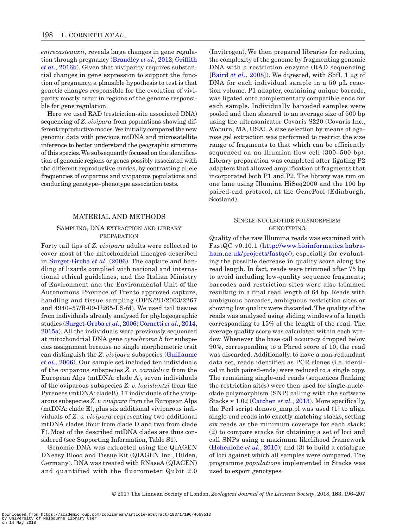*entrecasteauxii*, reveals large changes in gene regulation through pregnancy ([Brandley](#page-9-11) *et al.*, 2012; [Griffith](#page-9-3) *et al.*[, 2016b](#page-9-3)). Given that viviparity requires substantial changes in gene expression to support the function of pregnancy, a plausible hypothesis to test is that genetic changes responsible for the evolution of viviparity mostly occur in regions of the genome responsible for gene regulation.

Here we used RAD (restriction-site associated DNA) sequencing of *Z. vivipara* from populations showing different reproductive modes. We initially compared the new genomic data with previous mtDNA and microsatellite inference to better understand the geographic structure of this species. We subsequently focused on the identification of genomic regions or genes possibly associated with the different reproductive modes, by contrasting allele frequencies of oviparous and viviparous populations and conducting genotype–phenotype association tests.

#### MATERIAL AND METHODS

## Sampling, DNA extraction and library **PREPARATION**

Forty tail tips of *Z. vivipara* adults were collected to cover most of the mitochondrial lineages described in [Surget-Groba](#page-10-4) *et al.* (2006). The capture and handling of lizards complied with national and international ethical guidelines, and the Italian Ministry of Environment and the Environmental Unit of the Autonomous Province of Trento approved capture, handling and tissue sampling (DPN/2D/2003/2267 and 4940–57/B-09-U265-LS-fd). We used tail tissues from individuals already analysed for phylogeographic studies ([Surget-Groba](#page-10-4) *et al.*, 2006; [Cornetti](#page-9-9) *et al.*, 2014, [2015a\)](#page-9-8). All the individuals were previously sequenced at mitochondrial DNA gene *cytochrome b* for subspecies assignment because no single morphometric trait can distinguish the *Z. vivipara* subspecies ([Guillaume](#page-9-12)  *et al.*[, 2006\)](#page-9-12). Our sample set included ten individuals of the oviparous subspecies *Z. v. carniolica* from the European Alps (mtDNA: clade A), seven individuals of the oviparous subspecies *Z. v. louislantzi* from the Pyrenees (mtDNA: cladeB), 17 individuals of the viviparous subspecies *Z. v. vivipara* from the European Alps (mtDNA: clade E), plus six additional viviparous individuals of *Z. v. vivipara* representing two additional mtDNA clades (four from clade D and two from clade F). Most of the described mtDNA clades are thus considered (see Supporting Information, Table S1).

Genomic DNA was extracted using the QIAGEN DNeasy Blood and Tissue Kit (QIAGEN Inc., Hilden, Germany). DNA was treated with RNaseA (QIAGEN) and quantified with the fluorometer Qubit 2.0 (Invitrogen). We then prepared libraries for reducing the complexity of the genome by fragmenting genomic DNA with a restriction enzyme (RAD sequencing [\[Baird](#page-9-13) *et al.*, 2008]). We digested, with SbfI, 1 μg of DNA for each individual sample in a 50 μL reaction volume. P1 adapter, containing unique barcode, was ligated onto complementary compatible ends for each sample. Individually barcoded samples were pooled and then sheared to an average size of 500 bp using the ultrasonicator Covaris S220 (Covaris Inc., Woburn, MA, USA). A size selection by means of agarose gel extraction was performed to restrict the size range of fragments to that which can be efficiently sequenced on an Illumina flow cell (300–500 bp). Library preparation was completed after ligating P2 adapters that allowed amplification of fragments that incorporated both P1 and P2. The library was run on one lane using Illumina HiSeq2000 and the 100 bp paired-end protocol, at the GenePool (Edinburgh, Scotland).

## Single-nucleotide polymorphism **GENOTYPING**

Quality of the raw Illumina reads was examined with FastQC v0.10.1 ([http://www.bioinformatics.babra](http://www.bioinformatics.babraham.ac.uk/projects/fastqc/)[ham.ac.uk/projects/fastqc/](http://www.bioinformatics.babraham.ac.uk/projects/fastqc/)), especially for evaluating the possible decrease in quality score along the read length. In fact, reads were trimmed after 75 bp to avoid including low-quality sequence fragments; barcodes and restriction sites were also trimmed resulting in a final read length of 64 bp. Reads with ambiguous barcodes, ambiguous restriction sites or showing low quality were discarded. The quality of the reads was analysed using sliding windows of a length corresponding to 15% of the length of the read. The average quality score was calculated within each window. Whenever the base call accuracy dropped below 90%, corresponding to a Phred score of 10, the read was discarded. Additionally, to have a non-redundant data set, reads identified as PCR clones (i.e. identical in both paired-ends) were reduced to a single copy. The remaining single-end reads (sequences flanking the restriction sites) were then used for single-nucleotide polymorphism (SNP) calling with the software Stacks v 1.02 [\(Catchen](#page-9-14) *et al.*, 2013). More specifically, the Perl script denovo\_map.pl was used (1) to align single-end reads into exactly matching stacks, setting six reads as the minimum coverage for each stack; (2) to compare stacks for obtaining a set of loci and call SNPs using a maximum likelihood framework [\(Hohenlohe](#page-9-15) *et al.*, 2010); and (3) to build a catalogue of loci against which all samples were compared. The programme *populations* implemented in Stacks was used to export genotypes.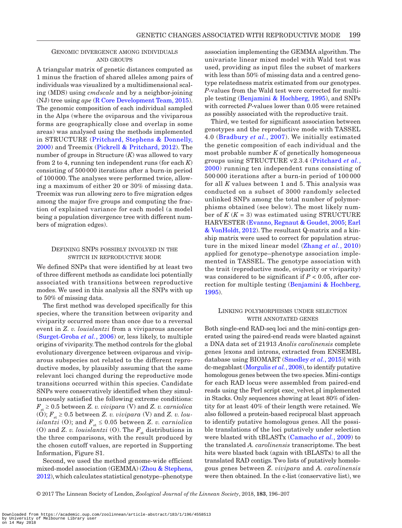## Genomic divergence among individuals and groups

A triangular matrix of genetic distances computed as 1 minus the fraction of shared alleles among pairs of individuals was visualized by a multidimensional scaling (MDS) using *cmdscale* and by a neighbor-joining (NJ) tree using *ape* [\(R Core Development Team, 2015\)](#page-10-13). The genomic composition of each individual sampled in the Alps (where the oviparous and the viviparous forms are geographically close and overlap in some areas) was analysed using the methods implemented in STRUCTURE ([Pritchard, Stephens & Donnelly,](#page-10-14) [2000](#page-10-14)) and Treemix ([Pickrell & Pritchard, 2012](#page-10-15)). The number of groups in Structure (*K*) was allowed to vary from 2 to 4, running ten independent runs (for each *K*) consisting of 500 000 iterations after a burn-in period of 100000. The analyses were performed twice, allowing a maximum of either 20 or 30% of missing data. Treemix was run allowing zero to five migration edges among the major five groups and computing the fraction of explained variance for each model (a model being a population divergence tree with different numbers of migration edges).

## Defining SNPs possibly involved in the switch in reproductive mode

We defined SNPs that were identified by at least two of three different methods as candidate loci potentially associated with transitions between reproductive modes. We used in this analysis all the SNPs with up to 50% of missing data.

The first method was developed specifically for this species, where the transition between oviparity and viviparity occurred more than once due to a reversal event in *Z. v. louislantzi* from a viviparous ancestor [\(Surget-Groba](#page-10-4) *et al.*, 2006) or, less likely, to multiple origins of viviparity. The method controls for the global evolutionary divergence between oviparous and viviparous subspecies not related to the different reproductive modes, by plausibly assuming that the same relevant loci changed during the reproductive mode transitions occurred within this species. Candidate SNPs were conservatively identified when they simultaneously satisfied the following extreme conditions:  $F_{st} \geq 0.5$  between *Z. v. vivipara* (V) and *Z. v. carniolica* (O);  $F_{st} \geq 0.5$  between *Z. v. vivipara* (V) and *Z. v. louislantzi* (O); and  $F_{st} \leq 0.05$  between *Z. v. carniolica* (O) and *Z. v. louislantzi* (O). The  $F_{st}$  distributions in the three comparisons, with the result produced by the chosen cutoff values, are reported in Supporting Information, Figure S1.

Second, we used the method genome-wide efficient mixed-model association (GEMMA) [\(Zhou & Stephens,](#page-11-5) [2012\)](#page-11-5), which calculates statistical genotype–phenotype

association implementing the GEMMA algorithm. The univariate linear mixed model with Wald test was used, providing as input files the subset of markers with less than 50% of missing data and a centred genotype relatedness matrix estimated from our genotypes. *P*-values from the Wald test were corrected for multiple testing ([Benjamini & Hochberg, 1995](#page-9-16)), and SNPs with corrected *P*-values lower than 0.05 were retained as possibly associated with the reproductive trait.

Third, we tested for significant association between genotypes and the reproductive mode with TASSEL 4.0 ([Bradbury](#page-9-17) *et al.*, 2007). We initially estimated the genetic composition of each individual and the most probable number *K* of genetically homogeneous groups using STRUCTURE v2.3.4 ([Pritchard](#page-10-14) *et al.*, [2000](#page-10-14)) running ten independent runs consisting of 500 000 iterations after a burn-in period of 100 000 for all *K* values between 1 and 5. This analysis was conducted on a subset of 3000 randomly selected unlinked SNPs among the total number of polymorphisms obtained (see below). The most likely number of  $K(K = 3)$  was estimated using STRUCTURE HARVESTER ([Evanno, Regnaut & Goudet, 2005;](#page-9-18) [Earl](#page-9-19) [& VonHoldt, 2012](#page-9-19)). The resultant Q-matrix and a kinship matrix were used to correct for population structure in the mixed linear model ([Zhang](#page-11-6) *et al.*, 2010) applied for genotype–phenotype association implemented in TASSEL. The genotype association with the trait (reproductive mode, oviparity or viviparity) was considered to be significant if *P* < 0.05, after correction for multiple testing ([Benjamini & Hochberg,](#page-9-16) [1995](#page-9-16)).

## Linking polymorphisms under selection with annotated genes

Both single-end RAD-seq loci and the mini-contigs generated using the paired-end reads were blasted against a DNA data set of 21913 *Anolis carolinensis* complete genes [exons and introns, extracted from ENSEMBL database using BIOMART [\(Smedley](#page-10-16) *et al.*, 2015)] with dc-megablast ([Morgulis](#page-9-20) *et al.*, 2008), to identify putative homologous genes between the two species. Mini-contigs for each RAD locus were assembled from paired-end reads using the Perl script exec\_velvet.pl implemented in Stacks. Only sequences showing at least 80% of identity for at least 40% of their length were retained. We also followed a protein-based reciprocal blast approach to identify putative homologous genes. All the possible translations of the loci putatively under selection were blasted with tBLASTx ([Camacho](#page-9-21) *et al.*, 2009) to the translated *A. carolinensis* transcriptome. The best hits were blasted back (again with tBLASTx) to all the translated RAD contigs. Two lists of putatively homologous genes between *Z. vivipara* and *A. carolinensis* were then obtained. In the c-list (conservative list), we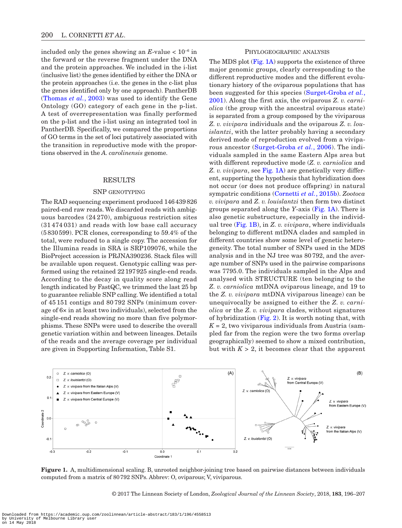included only the genes showing an  $E$ -value <  $10^{-6}$  in the forward or the reverse fragment under the DNA and the protein approaches. We included in the i-list (inclusive list) the genes identified by either the DNA or the protein approaches (i.e. the genes in the c-list plus the genes identified only by one approach). PantherDB [\(Thomas](#page-11-7) *et al.*, 2003) was used to identify the Gene Ontology (GO) category of each gene in the p-list. A test of overrepresentation was finally performed on the p-list and the i-list using an integrated tool in PantherDB. Specifically, we compared the proportions of GO terms in the set of loci putatively associated with the transition in reproductive mode with the proportions observed in the *A. carolinensis* genome.

#### **RESULTS**

#### SNP GENOTYPING

The RAD sequencing experiment produced 146439826 paired-end raw reads. We discarded reads with ambiguous barcodes (24 270), ambiguous restriction sites (31 474 031) and reads with low base call accuracy (5830599). PCR clones, corresponding to 59.4% of the total, were reduced to a single copy. The accession for the Illumina reads in SRA is SRP109076, while the BioProject accession is PRJNA390236. Stack files will be available upon request. Genotypic calling was performed using the retained 22197925 single-end reads. According to the decay in quality score along read length indicated by FastQC, we trimmed the last 25 bp to guarantee reliable SNP calling. We identified a total of 45 151 contigs and 80 792 SNPs (minimum coverage of 6× in at least two individuals), selected from the single-end reads showing no more than five polymorphisms. These SNPs were used to describe the overall genetic variation within and between lineages. Details of the reads and the average coverage per individual are given in Supporting Information, Table S1.

#### Phylogeographic analysis

The MDS plot ([Fig.](#page-4-0) 1A) supports the existence of three major genomic groups, clearly corresponding to the different reproductive modes and the different evolutionary history of the oviparous populations that has been suggested for this species ([Surget-Groba](#page-11-3) *et al.*, [2001](#page-11-3)). Along the first axis, the oviparous *Z. v. carniolica* (the group with the ancestral oviparous state) is separated from a group composed by the viviparous *Z. v. vivipara* individuals and the oviparous *Z. v. louislantzi*, with the latter probably having a secondary derived mode of reproduction evolved from a viviparous ancestor [\(Surget-Groba](#page-10-4) *et al.*, 2006). The individuals sampled in the same Eastern Alps area but with different reproductive mode (*Z. v. carniolica* and *Z. v. vivipara*, see [Fig.](#page-4-0) 1A) are genetically very different, supporting the hypothesis that hybridization does not occur (or does not produce offspring) in natural sympatric conditions ([Cornetti](#page-9-22) *et al.*, 2015b). *Zootoca v. vivipara* and *Z. v. louislantzi* then form two distinct groups separated along the *Y*-axis ([Fig.](#page-4-0) 1A). There is also genetic substructure, especially in the individual tree ([Fig.](#page-4-0) 1B), in *Z. v. vivipara*, where individuals belonging to different mtDNA clades and sampled in different countries show some level of genetic heterogeneity. The total number of SNPs used in the MDS analysis and in the NJ tree was 80 792, and the average number of SNPs used in the pairwise comparisons was 7795.0. The individuals sampled in the Alps and analysed with STRUCTURE (ten belonging to the *Z. v. carniolica* mtDNA oviparous lineage, and 19 to the *Z. v. vivipara* mtDNA viviparous lineage) can be unequivocally be assigned to either the *Z. v. carniolica* or the *Z. v. vivipara* clades, without signatures of hybridization [\(Fig.](#page-5-0) 2). It is worth noting that, with  $K = 2$ , two viviparous individuals from Austria (sampled far from the region were the two forms overlap geographically) seemed to show a mixed contribution, but with  $K > 2$ , it becomes clear that the apparent



<span id="page-4-0"></span>**Figure 1.** A, multidimensional scaling. B, unrooted neighbor-joining tree based on pairwise distances between individuals computed from a matrix of 80792 SNPs. Abbrev: O, oviparous; V, viviparous.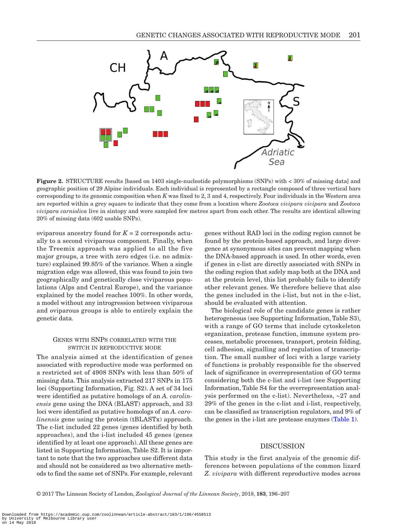

**Figure 2.** STRUCTURE results [based on 1403 single-nucleotide polymorphisms (SNPs) with < 30% of missing data] and geographic position of 29 Alpine individuals. Each individual is represented by a rectangle composed of three vertical bars corresponding to its genomic composition when *K* was fixed to 2, 3 and 4, respectively. Four individuals in the Western area are reported within a grey square to indicate that they come from a location where *Zootoca vivipara vivipara* and *Zootoca vivipara carniolica* live in sintopy and were sampled few metres apart from each other. The results are identical allowing 20% of missing data (602 usable SNPs).

oviparous ancestry found for  $K = 2$  corresponds actually to a second viviparous component. Finally, when the Treemix approach was applied to all the five major groups, a tree with zero edges (i.e. no admixture) explained 99.85% of the variance. When a single migration edge was allowed, this was found to join two geographically and genetically close viviparous populations (Alps and Central Europe), and the variance explained by the model reaches 100%. In other words, a model without any introgression between viviparous and oviparous groups is able to entirely explain the genetic data.

## Genes with SNPs correlated with the switch in reproductive mode

The analysis aimed at the identification of genes associated with reproductive mode was performed on a restricted set of 4908 SNPs with less than 50% of missing data. This analysis extracted 217 SNPs in 175 loci (Supporting Information, Fig. S2). A set of 34 loci were identified as putative homologs of an *A. carolinensis* gene using the DNA (BLAST) approach, and 33 loci were identified as putative homologs of an *A. carolinensis* gene using the protein (tBLASTx) approach. The c-list included 22 genes (genes identified by both approaches), and the i-list included 45 genes (genes identified by at least one approach). All these genes are listed in Supporting Information, Table S2. It is important to note that the two approaches use different data and should not be considered as two alternative methods to find the same set of SNPs. For example, relevant

<span id="page-5-0"></span>genes without RAD loci in the coding region cannot be found by the protein-based approach, and large divergence at synonymous sites can prevent mapping when the DNA-based approach is used. In other words, even if genes in c-list are directly associated with SNPs in the coding region that safely map both at the DNA and at the protein level, this list probably fails to identify other relevant genes. We therefore believe that also the genes included in the i-list, but not in the c-list, should be evaluated with attention.

The biological role of the candidate genes is rather heterogeneous (see Supporting Information, Table S3), with a range of GO terms that include cytoskeleton organization, protease function, immune system processes, metabolic processes, transport, protein folding, cell adhesion, signalling and regulation of transcription. The small number of loci with a large variety of functions is probably responsible for the observed lack of significance in overrepresentation of GO terms considering both the c-list and i-list (see Supporting Information, Table S4 for the overrepresentation analysis performed on the c-list). Nevertheless, ~27 and 29% of the genes in the c-list and i-list, respectively, can be classified as transcription regulators, and 9% of the genes in the i-list are protease enzymes [\(Table](#page-6-0) 1).

## DISCUSSION

This study is the first analysis of the genomic differences between populations of the common lizard *Z. vivipara* with different reproductive modes across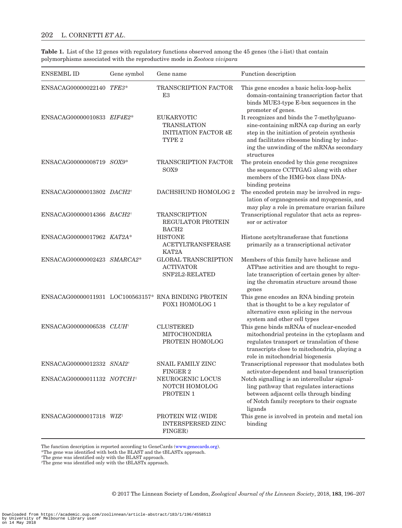| <b>ENSEMBL ID</b>                     | Gene symbol | Gene name                                                                                   | Function description                                                                                                                                                                                                                          |
|---------------------------------------|-------------|---------------------------------------------------------------------------------------------|-----------------------------------------------------------------------------------------------------------------------------------------------------------------------------------------------------------------------------------------------|
| ENSACAG00000022140 TFE3*              |             | <b>TRANSCRIPTION FACTOR</b><br>E3                                                           | This gene encodes a basic helix-loop-helix<br>domain-containing transcription factor that<br>binds MUE3-type E-box sequences in the<br>promoter of genes.                                                                                     |
| ENSACAG00000010833 EIF4E2*            |             | <b>EUKARYOTIC</b><br><b>TRANSLATION</b><br><b>INITIATION FACTOR 4E</b><br>TYPE <sub>2</sub> | It recognizes and binds the 7-methylguano-<br>sine-containing mRNA cap during an early<br>step in the initiation of protein synthesis<br>and facilitates ribosome binding by induc-<br>ing the unwinding of the mRNAs secondary<br>structures |
| ENSACAG00000008719 SOX9*              |             | <b>TRANSCRIPTION FACTOR</b><br>SOX9                                                         | The protein encoded by this gene recognizes<br>the sequence CCTTGAG along with other<br>members of the HMG-box class DNA-<br>binding proteins                                                                                                 |
| ENSACAG00000013802 DACH2+             |             | DACHSHUND HOMOLOG 2                                                                         | The encoded protein may be involved in regu-<br>lation of organogenesis and myogenesis, and<br>may play a role in premature ovarian failure                                                                                                   |
| ENSACAG00000014366 BACH2+             |             | <b>TRANSCRIPTION</b><br>REGULATOR PROTEIN<br>BACH <sub>2</sub>                              | Transcriptional regulator that acts as repres-<br>sor or activator                                                                                                                                                                            |
| ENSACAG00000017962 KAT2A*             |             | <b>HISTONE</b><br><b>ACETYLTRANSFERASE</b><br>KAT2A                                         | Histone acetyltransferase that functions<br>primarily as a transcriptional activator                                                                                                                                                          |
| ENSACAG00000002423 SMARCA2*           |             | <b>GLOBAL TRANSCRIPTION</b><br><b>ACTIVATOR</b><br>SNF2L2-RELATED                           | Members of this family have helicase and<br>ATPase activities and are thought to regu-<br>late transcription of certain genes by alter-<br>ing the chromatin structure around those<br>genes                                                  |
|                                       |             | ENSACAG00000011931 LOC100563157* RNA BINDING PROTEIN<br>FOX1 HOMOLOG 1                      | This gene encodes an RNA binding protein<br>that is thought to be a key regulator of<br>alternative exon splicing in the nervous<br>system and other cell types                                                                               |
| ENSACAG00000006538 CLUH <sup>+</sup>  |             | <b>CLUSTERED</b><br><b>MITOCHONDRIA</b><br>PROTEIN HOMOLOG                                  | This gene binds mRNAs of nuclear-encoded<br>mitochondrial proteins in the cytoplasm and<br>regulates transport or translation of these<br>transcripts close to mitochondria, playing a<br>role in mitochondrial biogenesis                    |
| ENSACAG00000012332 SNAI2 <sup>†</sup> |             | SNAIL FAMILY ZINC<br><b>FINGER 2</b>                                                        | Transcriptional repressor that modulates both<br>activator-dependent and basal transcription                                                                                                                                                  |
| ENSACAG00000011132 NOTCH1             |             | NEUROGENIC LOCUS<br>NOTCH HOMOLOG<br>PROTEIN 1                                              | Notch signalling is an intercellular signal-<br>ling pathway that regulates interactions<br>between adjacent cells through binding<br>of Notch family receptors to their cognate<br>ligands                                                   |
| ENSACAG00000017318 WIZ <sup>#</sup>   |             | PROTEIN WIZ (WIDE<br><b>INTERSPERSED ZINC</b><br>FINGER)                                    | This gene is involved in protein and metal ion<br>binding                                                                                                                                                                                     |

<span id="page-6-0"></span>**Table 1.** List of the 12 genes with regulatory functions observed among the 45 genes (the i-list) that contain polymorphisms associated with the reproductive mode in *Zootoca vivipara*

The function description is reported according to GeneCards [\(www.genecards.org](http://www.genecards.org)).

\*The gene was identified with both the BLAST and the tBLASTx approach.

† The gene was identified only with the BLAST approach.

‡ The gene was identified only with the tBLASTx approach.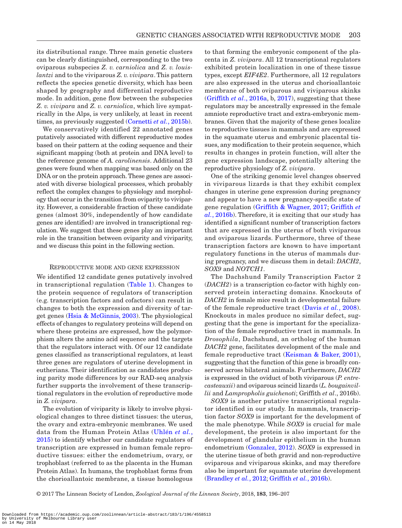its distributional range. Three main genetic clusters can be clearly distinguished, corresponding to the two oviparous subspecies *Z. v. carniolica* and *Z. v. louislantzi* and to the viviparous *Z. v. vivipara*. This pattern reflects the species genetic diversity, which has been shaped by geography and differential reproductive mode. In addition, gene flow between the subspecies *Z. v. vivipara* and *Z. v. carniolica*, which live sympatrically in the Alps, is very unlikely, at least in recent times, as previously suggested [\(Cornetti](#page-9-22) *et al.*, 2015b).

We conservatively identified 22 annotated genes putatively associated with different reproductive modes based on their pattern at the coding sequence and their significant mapping (both at protein and DNA level) to the reference genome of *A. carolinensis*. Additional 23 genes were found when mapping was based only on the DNA or on the protein approach. These genes are associated with diverse biological processes, which probably reflect the complex changes to physiology and morphology that occur in the transition from oviparity to viviparity. However, a considerable fraction of these candidate genes (almost 30%, independently of how candidate genes are identified) are involved in transcriptional regulation. We suggest that these genes play an important role in the transition between oviparity and viviparity, and we discuss this point in the following section.

#### Reproductive mode and gene expression

We identified 12 candidate genes putatively involved in transcriptional regulation ([Table](#page-6-0) 1). Changes to the protein sequence of regulators of transcription (e.g. transcription factors and cofactors) can result in changes to both the expression and diversity of target genes ([Hsia & McGinnis, 2003\)](#page-9-23). The physiological effects of changes to regulatory proteins will depend on where these proteins are expressed, how the polymorphism alters the amino acid sequence and the targets that the regulators interact with. Of our 12 candidate genes classified as transcriptional regulators, at least three genes are regulators of uterine development in eutherians. Their identification as candidates producing parity mode differences by our RAD-seq analysis further supports the involvement of these transcriptional regulators in the evolution of reproductive mode in *Z. vivipara*.

The evolution of viviparity is likely to involve physiological changes to three distinct tissues: the uterus, the ovary and extra-embryonic membranes. We used data from the Human Protein Atlas ([Uhlén](#page-11-8) *et al.*, [2015](#page-11-8)) to identify whether our candidate regulators of transcription are expressed in human female reproductive tissues: either the endometrium, ovary, or trophoblast (referred to as the placenta in the Human Protein Atlas). In humans, the trophoblast forms from the chorioallantoic membrane, a tissue homologous

to that forming the embryonic component of the placenta in *Z. vivipara*. All 12 transcriptional regulators exhibited protein localization in one of these tissue types, except *EIF4E2*. Furthermore, all 12 regulators are also expressed in the uterus and chorioallantoic membrane of both oviparous and viviparous skinks [\(Griffith](#page-9-24) *et al*., 2016a, b, [2017\)](#page-9-4), suggesting that these regulators may be ancestrally expressed in the female amniote reproductive tract and extra-embryonic membranes. Given that the majority of these genes localize to reproductive tissues in mammals and are expressed in the squamate uterus and embryonic placental tissues, any modification to their protein sequence, which results in changes in protein function, will alter the gene expression landscape, potentially altering the reproductive physiology of *Z. vivipara*.

One of the striking genomic level changes observed in viviparous lizards is that they exhibit complex changes in uterine gene expression during pregnancy and appear to have a new pregnancy-specific state of gene regulation ([Griffith & Wagner, 2017;](#page-9-4) [Griffith](#page-9-10) *et al.*[, 2016b\)](#page-9-10). Therefore, it is exciting that our study has identified a significant number of transcription factors that are expressed in the uterus of both viviparous and oviparous lizards. Furthermore, three of these transcription factors are known to have important regulatory functions in the uterus of mammals during pregnancy, and we discuss them in detail: *DACH2*, *SOX9* and *NOTCH1*.

The Dachshund Family Transcription Factor 2 (*DACH2*) is a transcription co-factor with highly conserved protein interacting domains. Knockouts of *DACH2* in female mice result in developmental failure of the female reproductive tract [\(Davis](#page-9-25) *et al.*, 2008). Knockouts in males produce no similar defect, suggesting that the gene is important for the specialization of the female reproductive tract in mammals. In *Drosophila*, Dachshund, an ortholog of the human *DACH2* gene, facilitates development of the male and female reproductive tract ([Keisman & Baker, 2001\)](#page-9-26), suggesting that the function of this gene is broadly conserved across bilateral animals. Furthermore, *DACH2* is expressed in the oviduct of both viviparous (*P. entrecasteauxii*) and oviparous scincid lizards (*L. bougainvillii* and *Lampropholis guichenoti*; Griffith *et al*., 2016b).

*SOX9* is another putative transcriptional regulator identified in our study. In mammals, transcription factor *SOX9* is important for the development of the male phenotype. While *SOX9* is crucial for male development, the protein is also important for the development of glandular epithelium in the human endometrium ([Gonzalez, 2012](#page-9-27)). *SOX9* is expressed in the uterine tissue of both gravid and non-reproductive oviparous and viviparous skinks, and may therefore also be important for squamate uterine development [\(Brandley](#page-9-11) *et al.*, 2012; [Griffith](#page-9-10) *et al.*, 2016b).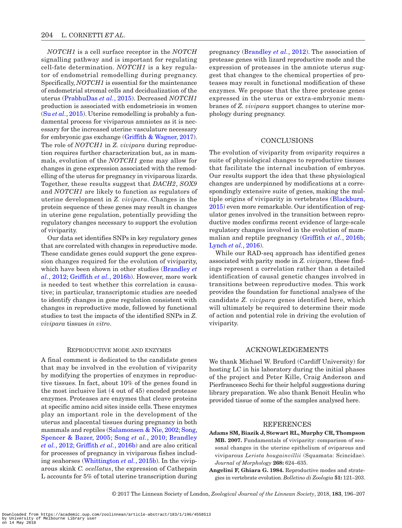*NOTCH1* is a cell surface receptor in the *NOTCH* signalling pathway and is important for regulating cell-fate determination. *NOTCH1* is a key regulator of endometrial remodelling during pregnancy. Specifically, *NOTCH1* is essential for the maintenance of endometrial stromal cells and decidualization of the uterus [\(PrabhuDas](#page-10-17) *et al.*, 2015). Decreased *NOTCH1* production is associated with endometriosis in women (Su *et al.*[, 2015\)](#page-10-18). Uterine remodelling is probably a fundamental process for viviparous amniotes as it is necessary for the increased uterine vasculature necessary for embryonic gas exchange ([Griffith & Wagner, 2017\)](#page-9-4). The role of *NOTCH1* in *Z. vivipara* during reproduction requires further characterization but, as in mammals, evolution of the *NOTCH1* gene may allow for changes in gene expression associated with the remodelling of the uterus for pregnancy in viviparous lizards. Together, these results suggest that *DACH2*, *SOX9* and *NOTCH1* are likely to function as regulators of uterine development in *Z. vivipara*. Changes in the protein sequence of these genes may result in changes in uterine gene regulation, potentially providing the regulatory changes necessary to support the evolution of viviparity.

Our data set identifies SNPs in key regulatory genes that are correlated with changes in reproductive mode. These candidate genes could support the gene expression changes required for the evolution of viviparity, which have been shown in other studies ([Brandley](#page-9-11) *et al.*[, 2012;](#page-9-11) [Griffith](#page-9-3) *et al.*, 2016b). However, more work is needed to test whether this correlation is causative; in particular, transcriptomic studies are needed to identify changes in gene regulation consistent with changes in reproductive mode, followed by functional studies to test the impacts of the identified SNPs in *Z. vivipara* tissues *in vitro*.

## Reproductive mode and enzymes

A final comment is dedicated to the candidate genes that may be involved in the evolution of viviparity by modifying the properties of enzymes in reproductive tissues. In fact, about 10% of the genes found in the most inclusive list (4 out of 45) encoded protease enzymes. Proteases are enzymes that cleave proteins at specific amino acid sites inside cells. These enzymes play an important role in the development of the uterus and placental tissues during pregnancy in both mammals and reptiles ([Salamonsen & Nie, 2002;](#page-10-19) [Song,](#page-10-20) [Spencer & Bazer, 2005;](#page-10-20) Song *et al.*[, 2010](#page-10-21); [Brandley](#page-9-11)  *et al.*[, 2012;](#page-9-11) [Griffith](#page-9-3) *et al.*, 2016b) and are also critical for processes of pregnancy in viviparous fishes including seahorses ([Whittington](#page-11-9) *et al.*, 2015b). In the viviparous skink *C. ocellatus*, the expression of Cathepsin L accounts for 5% of total uterine transcription during pregnancy ([Brandley](#page-9-11) *et al.*, 2012). The association of protease genes with lizard reproductive mode and the expression of proteases in the amniote uterus suggest that changes to the chemical properties of proteases may result in functional modification of these enzymes. We propose that the three protease genes expressed in the uterus or extra-embryonic membranes of *Z. vivipara* support changes to uterine morphology during pregnancy.

#### **CONCLUSIONS**

The evolution of viviparity from oviparity requires a suite of physiological changes to reproductive tissues that facilitate the internal incubation of embryos. Our results support the idea that these physiological changes are underpinned by modifications at a correspondingly extensive suite of genes, making the multiple origins of viviparity in vertebrates ([Blackburn,](#page-9-2) [2015\)](#page-9-2) even more remarkable. Our identification of regulator genes involved in the transition between reproductive modes confirms recent evidence of large-scale regulatory changes involved in the evolution of mammalian and reptile pregnancy ([Griffith](#page-9-3) *et al.*, 2016b; [Lynch](#page-9-28) *et al.*, 2016).

While our RAD-seq approach has identified genes associated with parity mode in *Z. vivipara*, these findings represent a correlation rather than a detailed identification of causal genetic changes involved in transitions between reproductive modes. This work provides the foundation for functional analyses of the candidate *Z. vivipara* genes identified here, which will ultimately be required to determine their mode of action and potential role in driving the evolution of viviparity.

## ACKNOWLEDGEMENTS

We thank Michael W. Bruford (Cardiff University) for hosting LC in his laboratory during the initial phases of the project and Peter Kille, Craig Anderson and Pierfrancesco Sechi for their helpful suggestions during library preparation. We also thank Benoit Heulin who provided tissue of some of the samples analysed here.

#### REFERENCES

- <span id="page-8-1"></span>**Adams SM, Biazik J, Stewart RL, Murphy CR, Thompson MB. 2007.** Fundamentals of viviparity: comparison of seasonal changes in the uterine epithelium of oviparous and viviparous *Lerista bougainvillii* (Squamata: Scincidae). *Journal of Morphology* **268:** 624–635.
- <span id="page-8-0"></span>**Angelini F, Ghiara G. 1984.** Reproductive modes and strategies in vertebrate evolution. *Bolletino di Zoologia* **51:** 121–203.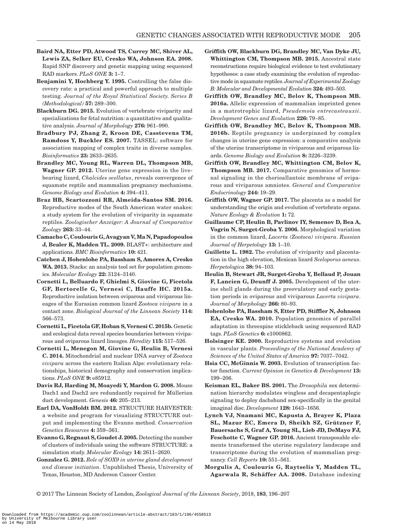- <span id="page-9-13"></span>**Baird NA, Etter PD, Atwood TS, Currey MC, Shiver AL, Lewis ZA, Selker EU, Cresko WA, Johnson EA. 2008.** Rapid SNP discovery and genetic mapping using sequenced RAD markers. *PLoS ONE* **3:** 1–7.
- <span id="page-9-16"></span>**Benjamini Y, Hochberg Y. 1995.** Controlling the false discovery rate: a practical and powerful approach to multiple testing. *Journal of the Royal Statistical Society. Series B (Methodological)* **57:** 289–300.
- <span id="page-9-2"></span>**Blackburn DG. 2015.** Evolution of vertebrate viviparity and specializations for fetal nutrition: a quantitative and qualitative analysis. *Journal of Morphology* **276:** 961–990.
- <span id="page-9-17"></span>**Bradbury PJ, Zhang Z, Kroon DE, Casstevens TM, Ramdoss Y, Buckler ES. 2007.** TASSEL: software for association mapping of complex traits in diverse samples. *Bioinformatics* **23:** 2633–2635.
- <span id="page-9-11"></span>**Brandley MC, Young RL, Warren DL, Thompson MB, Wagner GP. 2012.** Uterine gene expression in the livebearing lizard, *Chalcides ocellatus*, reveals convergence of squamate reptile and mammalian pregnancy mechanisms. *Genome Biology and Evolution* **4:** 394–411.
- <span id="page-9-6"></span>**Braz HB, Scartozzoni RR, Almeida-Santos SM. 2016.** Reproductive modes of the South American water snakes: a study system for the evolution of viviparity in squamate reptiles. *Zoologischer Anzeiger: A Journal of Comparative Zoology* **263:** 33–44.
- <span id="page-9-21"></span>**Camacho C, Coulouris G, Avagyan V, Ma N, Papadopoulos J, Bealer K, Madden TL. 2009.** BLAST+: architecture and applications. *BMC Bioinformatics* **10:** 421.
- <span id="page-9-14"></span>**Catchen J, Hohenlohe PA, Bassham S, Amores A, Cresko WA. 2013.** Stacks: an analysis tool set for population genomics. *Molecular Ecology* **22:** 3124–3140.
- <span id="page-9-8"></span>**Cornetti L, Belluardo F, Ghielmi S, Giovine G, Ficetola GF, Bertorelle G, Vernesi C, Hauffe HC. 2015a.** Reproductive isolation between oviparous and viviparous lineages of the Eurasian common lizard *Zootoca vivipara* in a contact zone. *Biological Journal of the Linnean Society* **114:**  566–573.
- <span id="page-9-22"></span>**Cornetti L, Ficetola GF, Hoban S, Vernesi C. 2015b.** Genetic and ecological data reveal species boundaries between viviparous and oviparous lizard lineages. *Heredity* **115:** 517–526.
- <span id="page-9-9"></span>**Cornetti L, Menegon M, Giovine G, Heulin B, Vernesi C. 2014.** Mitochondrial and nuclear DNA survey of *Zootoca vivipara* across the eastern Italian Alps: evolutionary relationships, historical demography and conservation implications. *PLoS ONE* **9:** e85912.
- <span id="page-9-25"></span>**Davis RJ, Harding M, Moayedi Y, Mardon G. 2008.** Mouse Dach1 and Dach2 are redundantly required for Müllerian duct development. *Genesis* **46:** 205–213.
- <span id="page-9-19"></span>**Earl DA, VonHoldt BM. 2012.** STRUCTURE HARVESTER: a website and program for visualizing STRUCTURE output and implementing the Evanno method. *Conservation Genetics Resources* **4:** 359–361.
- <span id="page-9-18"></span>**Evanno G, Regnaut S, Goudet J. 2005.** Detecting the number of clusters of individuals using the software STRUCTURE: a simulation study. *Molecular Ecology* **14:** 2611–2620.
- <span id="page-9-27"></span>**Gonzalez G. 2012.** *Role of SOX9 in uterine gland development and disease initiation*. Unpublished Thesis, University of Texas, Houston, MD Anderson Cancer Center.
- <span id="page-9-7"></span>**Griffith OW, Blackburn DG, Brandley MC, Van Dyke JU, Whittington CM, Thompson MB. 2015.** Ancestral state reconstructions require biological evidence to test evolutionary hypotheses: a case study examining the evolution of reproductive mode in squamate reptiles. *Journal of Experimental Zoology B: Molecular and Developmental Evolution* **324:** 493–503.
- <span id="page-9-24"></span>**Griffith OW, Brandley MC, Belov K, Thompson MB. 2016a.** Allelic expression of mammalian imprinted genes in a matrotrophic lizard, *Pseudemoia entrecasteauxii*. *Development Genes and Evolution* **226:** 79–85.
- <span id="page-9-3"></span>**Griffith OW, Brandley MC, Belov K, Thompson MB. 2016b.** Reptile pregnancy is underpinned by complex changes in uterine gene expression: a comparative analysis of the uterine transcriptome in viviparous and oviparous lizards. *Genome Biology and Evolution* **8:** 3226–3239.
- <span id="page-9-10"></span>**Griffith OW, Brandley MC, Whittington CM, Belov K, Thompson MB. 2017.** Comparative genomics of hormonal signaling in the chorioallantoic membrane of oviparous and viviparous amniotes. *General and Comparative Endocrinology* **244:** 19–29.
- <span id="page-9-4"></span>**Griffith OW, Wagner GP. 2017.** The placenta as a model for understanding the origin and evolution of vertebrate organs. *Nature Ecology & Evolution* **1:** 72.
- <span id="page-9-12"></span>**Guillaume CP, Heulin B, Pavlinov IY, Semenov D, Bea A, Vogrin N, Surget-Groba Y. 2006.** Morphological variation in the common lizard, *Lacerta (Zootoca) vivipara*. *Russian Journal of Herpetology* **13:** 1–10.
- <span id="page-9-1"></span>**Guillette L. 1982.** The evolution of viviparity and placentation in the high elevation, Mexican lizard *Sceloporus aeneus*. *Herpetologica* **38:** 94–103.
- <span id="page-9-5"></span>**Heulin B, Stewart JR, Surget-Groba Y, Bellaud P, Jouan F, Lancien G, Deunff J. 2005.** Development of the uterine shell glands during the preovulatory and early gestation periods in oviparous and viviparous *Lacerta vivipara*. *Journal of Morphology* **266:** 80–93.
- <span id="page-9-15"></span>**Hohenlohe PA, Bassham S, Etter PD, Stiffler N, Johnson EA, Cresko WA. 2010.** Population genomics of parallel adaptation in threespine stickleback using sequenced RAD tags. *PLoS Genetics* **6:** e1000862.
- <span id="page-9-0"></span>**Holsinger KE. 2000.** Reproductive systems and evolution in vascular plants. *Proceedings of the National Academy of Sciences of the United States of America* **97:** 7037–7042.
- <span id="page-9-23"></span>**Hsia CC, McGinnis W. 2003.** Evolution of transcription factor function. *Current Opinion in Genetics & Development* **13:**  199–206.
- <span id="page-9-26"></span>**Keisman EL, Baker BS. 2001.** The *Drosophila* sex determination hierarchy modulates wingless and decapentaplegic signaling to deploy dachshund sex-specifically in the genital imaginal disc. *Development* **128:** 1643–1656.
- <span id="page-9-28"></span>**Lynch VJ, Nnamani MC, Kapusta A, Brayer K, Plaza SL, Mazur EC, Emera D, Sheikh SZ, Grützner F, Bauersachs S, Graf A, Young SL, Lieb JD, DeMayo FJ, Feschotte C, Wagner GP. 2016.** Ancient transposable elements transformed the uterine regulatory landscape and transcriptome during the evolution of mammalian pregnancy. *Cell Reports* **10:** 551–561.
- <span id="page-9-20"></span>**Morgulis A, Coulouris G, Raytselis Y, Madden TL, Agarwala R, Schäffer AA. 2008.** Database indexing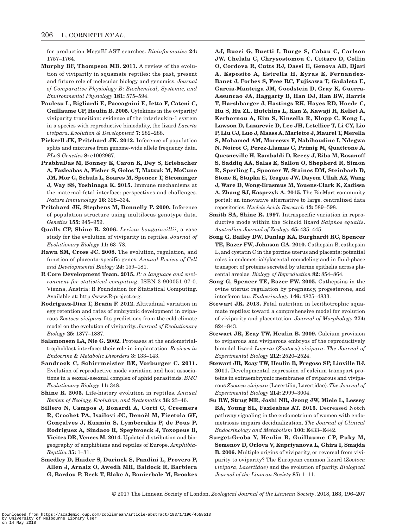for production MegaBLAST searches. *Bioinformatics* **24:**  1757–1764.

- <span id="page-10-1"></span>**Murphy BF, Thompson MB. 2011.** A review of the evolution of viviparity in squamate reptiles: the past, present and future role of molecular biology and genomics. *Journal of Comparative Physiology B: Biochemical, Systemic, and Environmental Physiology* **181:** 575–594.
- <span id="page-10-12"></span>**Paulesu L, Bigliardi E, Paccagnini E, Ietta F, Cateni C, Guillaume CP, Heulin B. 2005.** Cytokines in the oviparity/ viviparity transition: evidence of the interleukin-1 system in a species with reproductive bimodality, the lizard *Lacerta vivipara*. *Evolution & Development* **7:** 282–288.
- <span id="page-10-15"></span>**Pickrell JK, Pritchard JK. 2012.** Inference of population splits and mixtures from genome-wide allele frequency data. *PLoS Genetics* **8:** e1002967.
- <span id="page-10-17"></span>**PrabhuDas M, Bonney E, Caron K, Dey S, Erlebacher A, Fazleabas A, Fisher S, Golos T, Matzuk M, McCune JM, Mor G, Schulz L, Soares M, Spencer T, Strominger J, Way SS, Yoshinaga K. 2015.** Immune mechanisms at the maternal-fetal interface: perspectives and challenges. *Nature Immunology* **16:** 328–334.
- <span id="page-10-14"></span>**Pritchard JK, Stephens M, Donnelly P. 2000.** Inference of population structure using multilocus genotype data. *Genetics* **155:** 945–959.
- <span id="page-10-3"></span>**Qualls CP, Shine R. 2006.** *Lerista bougainvillii*, a case study for the evolution of viviparity in reptiles. *Journal of Evolutionary Biology* **11:** 63–78.
- <span id="page-10-11"></span>**Rawn SM, Cross JC. 2008.** The evolution, regulation, and function of placenta-specific genes. *Annual Review of Cell and Developmental Biology* **24:** 159–181.
- <span id="page-10-13"></span>**R Core Development Team. 2015.** *R: a language and environment for statistical computing*. ISBN 3-900051-07-0. Vienna, Austria: R Foundation for Statistical Computing. Available at: http://www.R-project.org.
- <span id="page-10-7"></span>**Rodríguez-Díaz T, Braña F. 2012.** Altitudinal variation in egg retention and rates of embryonic development in oviparous *Zootoca vivipara* fits predictions from the cold-climate model on the evolution of viviparity. *Journal of Evolutionary Biology* **25:** 1877–1887.
- <span id="page-10-19"></span>**Salamonsen LA, Nie G. 2002.** Proteases at the endometrialtrophoblast interface: their role in implantation. *Reviews in Endocrine & Metabolic Disorders* **3:** 133–143.
- <span id="page-10-0"></span>**Sandrock C, Schirrmeister BE, Vorburger C. 2011.** Evolution of reproductive mode variation and host associations in a sexual-asexual complex of aphid parasitoids. *BMC Evolutionary Biology* **11:** 348.
- <span id="page-10-6"></span>**Shine R. 2005.** Life-history evolution in reptiles. *Annual Review of Ecology, Evolution, and Systematics* **36:** 23–46.
- <span id="page-10-5"></span>**Sillero N, Campos J, Bonardi A, Corti C, Creemers R, Crochet PA, Isailovi JC, Denoël M, Ficetola GF, Gonçalves J, Kuzmin S, Lymberakis P, de Pous P, Rodriguez A, Sindaco R, Speybroeck J, Toxopeus B, Vieites DR, Vences M. 2014.** Updated distribution and biogeography of amphibians and reptiles of Europe. *Amphibia-Reptilia* **35:** 1–31.
- <span id="page-10-16"></span>**Smedley D, Haider S, Durinck S, Pandini L, Provero P, Allen J, Arnaiz O, Awedh MH, Baldock R, Barbiera G, Bardou P, Beck T, Blake A, Bonierbale M, Brookes**

**AJ, Bucci G, Buetti I, Burge S, Cabau C, Carlson JW, Chelala C, Chrysostomou C, Cittaro D, Collin O, Cordova R, Cutts RJ, Dassi E, Genova AD, Djari A, Esposito A, Estrella H, Eyras E, Fernandez-Banet J, Forbes S, Free RC, Fujisawa T, Gadaleta E, Garcia-Manteiga JM, Goodstein D, Gray K, Guerra-Assuncao JA, Haggarty B, Han DJ, Han BW, Harris T, Harshbarger J, Hastings RK, Hayes RD, Hoede C, Hu S, Hu ZL, Hutchins L, Kan Z, Kawaji H, Keliet A, Kerhornou A, Kim S, Kinsella R, Klopp C, Kong L, Lawson D, Lazarevic D, Lee JH, Letellier T, Li CY, Lio P, Liu CJ, Luo J, Maass A, Mariette J, Maurel T, Merella S, Mohamed AM, Moreews F, Nabihoudine I, Ndegwa N, Noirot C, Perez-Llamas C, Primig M, Quattrone A, Quesneville H, Rambaldi D, Reecy J, Riba M, Rosanoff S, Saddiq AA, Salas E, Sallou O, Shepherd R, Simon R, Sperling L, Spooner W, Staines DM, Steinbach D, Stone K, Stupka E, Teague JW, Dayem Ullah AZ, Wang J, Ware D, Wong-Erasmus M, Youens-Clark K, Zadissa A, Zhang SJ, Kasprzyk A. 2015.** The BioMart community portal: an innovative alternative to large, centralized data repositories. *Nucleic Acids Research* **43:** 589–598.

<span id="page-10-2"></span>**Smith SA, Shine R. 1997.** Intraspecific variation in reproductive mode within the Scincid lizard *Saiphos equalis*. *Australian Journal of Zoology* **45:** 435–445.

- <span id="page-10-21"></span>**Song G, Bailey DW, Dunlap KA, Burghardt RC, Spencer TE, Bazer FW, Johnson GA. 2010.** Cathepsin B, cathepsin L, and cystatin C in the porcine uterus and placenta: potential roles in endometrial/placental remodeling and in fluid-phase transport of proteins secreted by uterine epithelia across placental areolae. *Biology of Reproduction* **82:** 854–864.
- <span id="page-10-20"></span>**Song G, Spencer TE, Bazer FW. 2005.** Cathepsins in the ovine uterus: regulation by pregnancy, progesterone, and interferon tau. *Endocrinology* **146:** 4825–4833.
- <span id="page-10-10"></span>**Stewart JR. 2013.** Fetal nutrition in lecithotrophic squamate reptiles: toward a comprehensive model for evolution of viviparity and placentation. *Journal of Morphology* **274:**  824–843.
- <span id="page-10-8"></span>**Stewart JR, Ecay TW, Heulin B. 2009.** Calcium provision to oviparous and viviparous embryos of the reproductively bimodal lizard *Lacerta* (*Zootoca*) *vivipara*. *The Journal of Experimental Biology* **212:** 2520–2524.
- <span id="page-10-9"></span>**Stewart JR, Ecay TW, Heulin B, Fregoso SP, Linville BJ. 2011.** Developmental expression of calcium transport proteins in extraembryonic membranes of oviparous and viviparous *Zootoca vivipara* (Lacertilia, Lacertidae). *The Journal of Experimental Biology* **214:** 2999–3004.
- <span id="page-10-18"></span>**Su RW, Strug MR, Joshi NR, Jeong JW, Miele L, Lessey BA, Young SL, Fazleabas AT. 2015.** Decreased Notch pathway signaling in the endometrium of women with endometriosis impairs decidualization. *The Journal of Clinical Endocrinology and Metabolism* **100:** E433–E442.
- <span id="page-10-4"></span>**Surget-Groba Y, Heulin B, Guillaume CP, Puky M, Semenov D, Orlova V, Kupriyanova L, Ghira I, Smajda B. 2006.** Multiple origins of viviparity, or reversal from viviparity to oviparity? The European common lizard (*Zootoca vivipara*, *Lacertidae*) and the evolution of parity. *Biological Journal of the Linnean Society* **87:** 1–11.